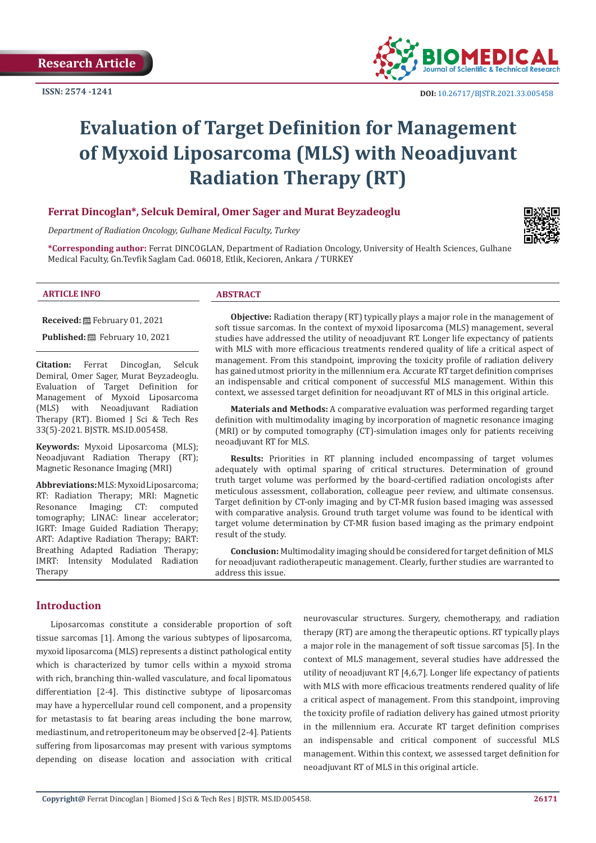

# **Evaluation of Target Definition for Management of Myxoid Liposarcoma (MLS) with Neoadjuvant Radiation Therapy (RT)**

## **Ferrat Dincoglan\*, Selcuk Demiral, Omer Sager and Murat Beyzadeoglu**

*Department of Radiation Oncology, Gulhane Medical Faculty, Turkey*

**\*Corresponding author:** Ferrat DINCOGLAN, Department of Radiation Oncology, University of Health Sciences, Gulhane Medical Faculty, Gn.Tevfik Saglam Cad. 06018, Etlik, Kecioren, Ankara / TURKEY

#### **ARTICLE INFO ABSTRACT**

**Received:** February 01, 2021

**Published:** February 10, 2021

**Citation:** Ferrat Dincoglan, Selcuk Demiral, Omer Sager, Murat Beyzadeoglu. Evaluation of Target Definition for Management of Myxoid Liposarcoma<br>(MLS) with Neoadjuvant Radiation Neoadjuvant Radiation Therapy (RT). Biomed J Sci & Tech Res 33(5)-2021. BJSTR. MS.ID.005458.

**Keywords:** Myxoid Liposarcoma (MLS); Neoadjuvant Radiation Therapy (RT); Magnetic Resonance Imaging (MRI)

**Abbreviations:** MLS: Myxoid Liposarcoma; RT: Radiation Therapy; MRI: Magnetic Resonance Imaging; CT: computed tomography; LINAC: linear accelerator; IGRT: Image Guided Radiation Therapy; ART: Adaptive Radiation Therapy; BART: Breathing Adapted Radiation Therapy; IMRT: Intensity Modulated Radiation Therapy

**Objective:** Radiation therapy (RT) typically plays a major role in the management of soft tissue sarcomas. In the context of myxoid liposarcoma (MLS) management, several studies have addressed the utility of neoadjuvant RT. Longer life expectancy of patients with MLS with more efficacious treatments rendered quality of life a critical aspect of management. From this standpoint, improving the toxicity profile of radiation delivery has gained utmost priority in the millennium era. Accurate RT target definition comprises an indispensable and critical component of successful MLS management. Within this context, we assessed target definition for neoadjuvant RT of MLS in this original article.

**Materials and Methods:** A comparative evaluation was performed regarding target definition with multimodality imaging by incorporation of magnetic resonance imaging (MRI) or by computed tomography (CT)-simulation images only for patients receiving neoadjuvant RT for MLS.

**Results:** Priorities in RT planning included encompassing of target volumes adequately with optimal sparing of critical structures. Determination of ground truth target volume was performed by the board-certified radiation oncologists after meticulous assessment, collaboration, colleague peer review, and ultimate consensus. Target definition by CT-only imaging and by CT-MR fusion based imaging was assessed with comparative analysis. Ground truth target volume was found to be identical with target volume determination by CT-MR fusion based imaging as the primary endpoint result of the study.

**Conclusion:** Multimodality imaging should be considered for target definition of MLS for neoadjuvant radiotherapeutic management. Clearly, further studies are warranted to address this issue.

#### **Introduction**

Liposarcomas constitute a considerable proportion of soft tissue sarcomas [1]. Among the various subtypes of liposarcoma, myxoid liposarcoma (MLS) represents a distinct pathological entity which is characterized by tumor cells within a myxoid stroma with rich, branching thin-walled vasculature, and focal lipomatous differentiation [2-4]. This distinctive subtype of liposarcomas may have a hypercellular round cell component, and a propensity for metastasis to fat bearing areas including the bone marrow, mediastinum, and retroperitoneum may be observed [2-4]. Patients suffering from liposarcomas may present with various symptoms depending on disease location and association with critical

neurovascular structures. Surgery, chemotherapy, and radiation therapy (RT) are among the therapeutic options. RT typically plays a major role in the management of soft tissue sarcomas [5]. In the context of MLS management, several studies have addressed the utility of neoadjuvant RT [4,6,7]. Longer life expectancy of patients with MLS with more efficacious treatments rendered quality of life a critical aspect of management. From this standpoint, improving the toxicity profile of radiation delivery has gained utmost priority in the millennium era. Accurate RT target definition comprises an indispensable and critical component of successful MLS management. Within this context, we assessed target definition for neoadjuvant RT of MLS in this original article.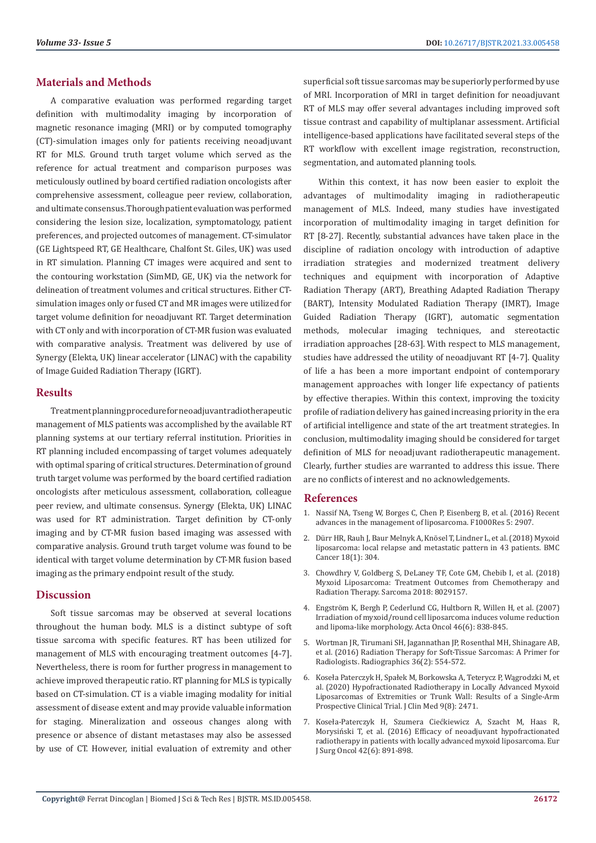# **Materials and Methods**

A comparative evaluation was performed regarding target definition with multimodality imaging by incorporation of magnetic resonance imaging (MRI) or by computed tomography (CT)-simulation images only for patients receiving neoadjuvant RT for MLS. Ground truth target volume which served as the reference for actual treatment and comparison purposes was meticulously outlined by board certified radiation oncologists after comprehensive assessment, colleague peer review, collaboration, and ultimate consensus. Thorough patient evaluation was performed considering the lesion size, localization, symptomatology, patient preferences, and projected outcomes of management. CT-simulator (GE Lightspeed RT, GE Healthcare, Chalfont St. Giles, UK) was used in RT simulation. Planning CT images were acquired and sent to the contouring workstation (SimMD, GE, UK) via the network for delineation of treatment volumes and critical structures. Either CTsimulation images only or fused CT and MR images were utilized for target volume definition for neoadjuvant RT. Target determination with CT only and with incorporation of CT-MR fusion was evaluated with comparative analysis. Treatment was delivered by use of Synergy (Elekta, UK) linear accelerator (LINAC) with the capability of Image Guided Radiation Therapy (IGRT).

## **Results**

Treatment planning procedure for neoadjuvant radiotherapeutic management of MLS patients was accomplished by the available RT planning systems at our tertiary referral institution. Priorities in RT planning included encompassing of target volumes adequately with optimal sparing of critical structures. Determination of ground truth target volume was performed by the board certified radiation oncologists after meticulous assessment, collaboration, colleague peer review, and ultimate consensus. Synergy (Elekta, UK) LINAC was used for RT administration. Target definition by CT-only imaging and by CT-MR fusion based imaging was assessed with comparative analysis. Ground truth target volume was found to be identical with target volume determination by CT-MR fusion based imaging as the primary endpoint result of the study.

#### **Discussion**

Soft tissue sarcomas may be observed at several locations throughout the human body. MLS is a distinct subtype of soft tissue sarcoma with specific features. RT has been utilized for management of MLS with encouraging treatment outcomes [4-7]. Nevertheless, there is room for further progress in management to achieve improved therapeutic ratio. RT planning for MLS is typically based on CT-simulation. CT is a viable imaging modality for initial assessment of disease extent and may provide valuable information for staging. Mineralization and osseous changes along with presence or absence of distant metastases may also be assessed by use of CT. However, initial evaluation of extremity and other superficial soft tissue sarcomas may be superiorly performed by use of MRI. Incorporation of MRI in target definition for neoadjuvant RT of MLS may offer several advantages including improved soft tissue contrast and capability of multiplanar assessment. Artificial intelligence-based applications have facilitated several steps of the RT workflow with excellent image registration, reconstruction, segmentation, and automated planning tools.

Within this context, it has now been easier to exploit the advantages of multimodality imaging in radiotherapeutic management of MLS. Indeed, many studies have investigated incorporation of multimodality imaging in target definition for RT [8-27]. Recently, substantial advances have taken place in the discipline of radiation oncology with introduction of adaptive irradiation strategies and modernized treatment delivery techniques and equipment with incorporation of Adaptive Radiation Therapy (ART), Breathing Adapted Radiation Therapy (BART), Intensity Modulated Radiation Therapy (IMRT), Image Guided Radiation Therapy (IGRT), automatic segmentation methods, molecular imaging techniques, and stereotactic irradiation approaches [28-63]. With respect to MLS management, studies have addressed the utility of neoadjuvant RT [4-7]. Quality of life a has been a more important endpoint of contemporary management approaches with longer life expectancy of patients by effective therapies. Within this context, improving the toxicity profile of radiation delivery has gained increasing priority in the era of artificial intelligence and state of the art treatment strategies. In conclusion, multimodality imaging should be considered for target definition of MLS for neoadjuvant radiotherapeutic management. Clearly, further studies are warranted to address this issue. There are no conflicts of interest and no acknowledgements.

#### **References**

- 1. [Nassif NA, Tseng W, Borges C, Chen P, Eisenberg B, et al. \(2016\) Recent](https://pubmed.ncbi.nlm.nih.gov/28105325/) [advances in the management of liposarcoma. F1000Res 5: 2907.](https://pubmed.ncbi.nlm.nih.gov/28105325/)
- 2. [Dürr HR, Rauh J, Baur Melnyk A, Knösel T, Lindner L, et al. \(2018\) Myxoid](https://pubmed.ncbi.nlm.nih.gov/29558901/) [liposarcoma: local relapse and metastatic pattern in 43 patients. BMC](https://pubmed.ncbi.nlm.nih.gov/29558901/) [Cancer 18\(1\): 304.](https://pubmed.ncbi.nlm.nih.gov/29558901/)
- 3. [Chowdhry V, Goldberg S, DeLaney TF, Cote GM, Chebib I, et al. \(2018\)](https://www.hindawi.com/journals/sarcoma/2018/8029157/) [Myxoid Liposarcoma: Treatment Outcomes from Chemotherapy and](https://www.hindawi.com/journals/sarcoma/2018/8029157/) [Radiation Therapy. Sarcoma 2018: 8029157.](https://www.hindawi.com/journals/sarcoma/2018/8029157/)
- 4. [Engström K, Bergh P, Cederlund CG, Hultborn R, Willen H, et al. \(2007\)](https://pubmed.ncbi.nlm.nih.gov/17653909/) [Irradiation of myxoid/round cell liposarcoma induces volume reduction](https://pubmed.ncbi.nlm.nih.gov/17653909/) [and lipoma-like morphology. Acta Oncol 46\(6\): 838-845.](https://pubmed.ncbi.nlm.nih.gov/17653909/)
- 5. [Wortman JR, Tirumani SH, Jagannathan JP, Rosenthal MH, Shinagare AB,](https://pubmed.ncbi.nlm.nih.gov/26963462/) [et al. \(2016\) Radiation Therapy for Soft-Tissue Sarcomas: A Primer for](https://pubmed.ncbi.nlm.nih.gov/26963462/) [Radiologists. Radiographics 36\(2\): 554-572.](https://pubmed.ncbi.nlm.nih.gov/26963462/)
- 6. [Koseła Paterczyk H, Spałek M, Borkowska A, Teterycz P, Wągrodzki M, et](https://pubmed.ncbi.nlm.nih.gov/32752185/) [al. \(2020\) Hypofractionated Radiotherapy in Locally Advanced Myxoid](https://pubmed.ncbi.nlm.nih.gov/32752185/) [Liposarcomas of Extremities or Trunk Wall: Results of a Single-Arm](https://pubmed.ncbi.nlm.nih.gov/32752185/) [Prospective Clinical Trial. J Clin Med 9\(8\): 2471.](https://pubmed.ncbi.nlm.nih.gov/32752185/)
- 7. [Koseła-Paterczyk H, Szumera Ciećkiewicz A, Szacht M, Haas R,](https://pubmed.ncbi.nlm.nih.gov/27026512/) [Morysiński T, et al. \(2016\) Efficacy of neoadjuvant hypofractionated](https://pubmed.ncbi.nlm.nih.gov/27026512/) [radiotherapy in patients with locally advanced myxoid liposarcoma. Eur](https://pubmed.ncbi.nlm.nih.gov/27026512/) [J Surg Oncol 42\(6\): 891-898.](https://pubmed.ncbi.nlm.nih.gov/27026512/)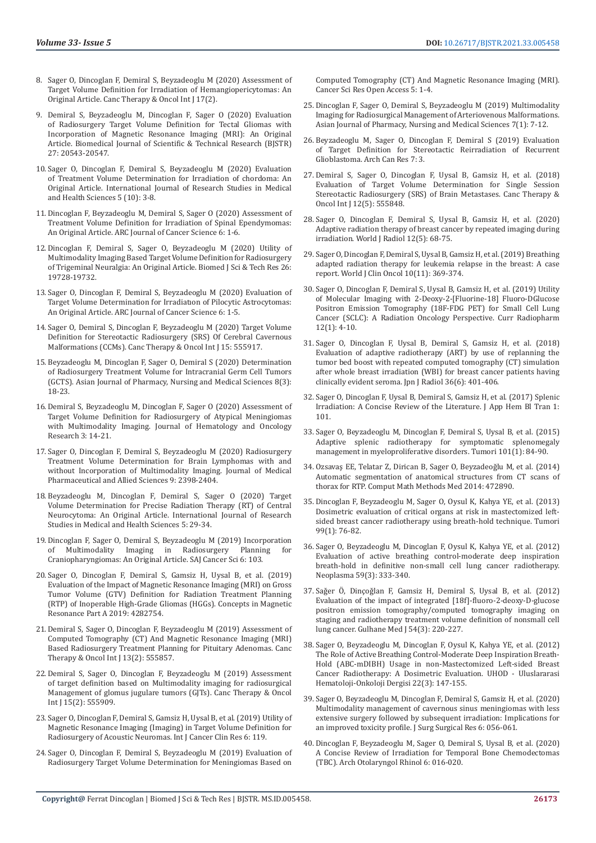- 8. [Sager O, Dincoglan F, Demiral S, Beyzadeoglu M \(2020\) Assessment of](https://juniperpublishers.com/ctoij/pdf/CTOIJ.MS.ID.555959.pdf)  [Target Volume Definition for Irradiation of Hemangiopericytomas: An](https://juniperpublishers.com/ctoij/pdf/CTOIJ.MS.ID.555959.pdf)  [Original Article. Canc Therapy & Oncol Int J 17\(2\).](https://juniperpublishers.com/ctoij/pdf/CTOIJ.MS.ID.555959.pdf)
- 9. [Demiral S, Beyzadeoglu M, Dincoglan F, Sager O \(2020\) Evaluation](https://biomedres.us/fulltexts/BJSTR.MS.ID.004461.php)  [of Radiosurgery Target Volume Definition for Tectal Gliomas with](https://biomedres.us/fulltexts/BJSTR.MS.ID.004461.php)  [Incorporation of Magnetic Resonance Imaging \(MRI\): An Original](https://biomedres.us/fulltexts/BJSTR.MS.ID.004461.php)  [Article. Biomedical Journal of Scientific & Technical Research \(BJSTR\)](https://biomedres.us/fulltexts/BJSTR.MS.ID.004461.php)  [27: 20543-20547.](https://biomedres.us/fulltexts/BJSTR.MS.ID.004461.php)
- 10. [Sager O, Dincoglan F, Demiral S, Beyzadeoglu M \(2020\) Evaluation](http://www.ijrsmhs.com/pdf/v5-i10/2.pdf)  [of Treatment Volume Determination for Irradiation of chordoma: An](http://www.ijrsmhs.com/pdf/v5-i10/2.pdf)  [Original Article. International Journal of Research Studies in Medical](http://www.ijrsmhs.com/pdf/v5-i10/2.pdf)  [and Health Sciences 5 \(10\): 3-8.](http://www.ijrsmhs.com/pdf/v5-i10/2.pdf)
- 11. [Dincoglan F, Beyzadeoglu M, Demiral S, Sager O \(2020\) Assessment of](https://www.arcjournals.org/pdfs/ajcs/v6-i1/1.pdf)  [Treatment Volume Definition for Irradiation of Spinal Ependymomas:](https://www.arcjournals.org/pdfs/ajcs/v6-i1/1.pdf)  [An Original Article. ARC Journal of Cancer Science 6: 1-6.](https://www.arcjournals.org/pdfs/ajcs/v6-i1/1.pdf)
- 12. [Dincoglan F, Demiral S, Sager O, Beyzadeoglu M \(2020\) Utility of](https://biomedres.us/fulltexts/BJSTR.MS.ID.004311.php)  [Multimodality Imaging Based Target Volume Definition for Radiosurgery](https://biomedres.us/fulltexts/BJSTR.MS.ID.004311.php)  [of Trigeminal Neuralgia: An Original Article. Biomed J Sci & Tech Res 26:](https://biomedres.us/fulltexts/BJSTR.MS.ID.004311.php)  [19728-19732.](https://biomedres.us/fulltexts/BJSTR.MS.ID.004311.php)
- 13. [Sager O, Dincoglan F, Demiral S, Beyzadeoglu M \(2020\) Evaluation of](https://www.arcjournals.org/pdfs/ajcs/v6-i1/3.pdf)  [Target Volume Determination for Irradiatıon of Pilocytic Astrocytomas:](https://www.arcjournals.org/pdfs/ajcs/v6-i1/3.pdf)  [An Original Article. ARC Journal of Cancer Science 6: 1-5.](https://www.arcjournals.org/pdfs/ajcs/v6-i1/3.pdf)
- 14. [Sager O, Demiral S, Dincoglan F, Beyzadeoglu M \(2020\) Target Volume](https://juniperpublishers.com/ctoij/CTOIJ.MS.ID.555917.php)  [Definition for Stereotactic Radiosurgery \(SRS\) Of Cerebral Cavernous](https://juniperpublishers.com/ctoij/CTOIJ.MS.ID.555917.php)  [Malformations \(CCMs\). Canc Therapy & Oncol Int J 15: 555917.](https://juniperpublishers.com/ctoij/CTOIJ.MS.ID.555917.php)
- 15. [Beyzadeoglu M, Dincoglan F, Sager O, Demiral S \(2020\) Determination](https://www.ajouronline.com/index.php/AJPNMS/article/view/6120)  [of Radiosurgery Treatment Volume for Intracranial Germ Cell Tumors](https://www.ajouronline.com/index.php/AJPNMS/article/view/6120)  [\(GCTS\). Asian Journal of Pharmacy, Nursing and Medical Sciences 8\(3\):](https://www.ajouronline.com/index.php/AJPNMS/article/view/6120)  [18-23.](https://www.ajouronline.com/index.php/AJPNMS/article/view/6120)
- 16. [Demiral S, Beyzadeoglu M, Dincoglan F, Sager O \(2020\) Assessment of](https://openaccesspub.org/jhor/article/1323)  [Target Volume Definition for Radiosurgery of Atypical Meningiomas](https://openaccesspub.org/jhor/article/1323)  [with Multimodality Imaging. Journal of Hematology and Oncology](https://openaccesspub.org/jhor/article/1323)  [Research 3: 14-21.](https://openaccesspub.org/jhor/article/1323)
- 17. [Sager O, Dincoglan F, Demiral S, Beyzadeoglu M \(2020\) Radiosurgery](https://jmpas.com/admin/assets/article_issue/1588008403JMPAS_MARCH_-APRIL_2020.pdf)  [Treatment Volume Determination for Brain Lymphomas with and](https://jmpas.com/admin/assets/article_issue/1588008403JMPAS_MARCH_-APRIL_2020.pdf)  [without Incorporation of Multimodality Imaging. Journal of Medical](https://jmpas.com/admin/assets/article_issue/1588008403JMPAS_MARCH_-APRIL_2020.pdf)  [Pharmaceutical and Allied Sciences 9: 2398-2404.](https://jmpas.com/admin/assets/article_issue/1588008403JMPAS_MARCH_-APRIL_2020.pdf)
- 18. [Beyzadeoglu M, Dincoglan F, Demiral S, Sager O \(2020\) Target](http://www.ijrsmhs.com/pdf/v5-i3/5.pdf)  [Volume Determination for Precise Radiation Therapy \(RT\) of Central](http://www.ijrsmhs.com/pdf/v5-i3/5.pdf)  [Neurocytoma: An Original Article. International Journal of Research](http://www.ijrsmhs.com/pdf/v5-i3/5.pdf)  [Studies in Medical and Health Sciences 5: 29-34.](http://www.ijrsmhs.com/pdf/v5-i3/5.pdf)
- 19. [Dincoglan F, Sager O, Demiral S, Beyzadeoglu M \(2019\) Incorporation](http://article.scholarena.com/Incorporation-of-Multimodality-Imaging-in-Radiosurgery-Planning-for-Craniopharyngiomas-An-Original-Article.pdf)   $\frac{1}{2}$  Multimodality in Radiosurgery Planning [Craniopharyngiomas: An Original Article. SAJ Cancer Sci 6: 103.](http://article.scholarena.com/Incorporation-of-Multimodality-Imaging-in-Radiosurgery-Planning-for-Craniopharyngiomas-An-Original-Article.pdf)
- 20. [Sager O, Dincoglan F, Demiral S, Gamsiz H, Uysal B, et al. \(2019\)](https://www.hindawi.com/journals/cmra/2019/4282754/)  [Evaluation of the Impact of Magnetic Resonance Imaging \(MRI\) on Gross](https://www.hindawi.com/journals/cmra/2019/4282754/)  [Tumor Volume \(GTV\) Definition for Radiation Treatment Planning](https://www.hindawi.com/journals/cmra/2019/4282754/)  [\(RTP\) of Inoperable High-Grade Gliomas \(HGGs\). Concepts in Magnetic](https://www.hindawi.com/journals/cmra/2019/4282754/)  [Resonance Part A 2019: 4282754.](https://www.hindawi.com/journals/cmra/2019/4282754/)
- 21. [Demiral S, Sager O, Dincoglan F, Beyzadeoglu M \(2019\) Assessment of](https://juniperpublishers.com/ctoij/pdf/CTOIJ.MS.ID.555857.pdf)  [Computed Tomography \(CT\) And Magnetic Resonance Imaging \(MRI\)](https://juniperpublishers.com/ctoij/pdf/CTOIJ.MS.ID.555857.pdf)  [Based Radiosurgery Treatment Planning for Pituitary Adenomas. Canc](https://juniperpublishers.com/ctoij/pdf/CTOIJ.MS.ID.555857.pdf)  [Therapy & Oncol Int J 13\(2\): 555857.](https://juniperpublishers.com/ctoij/pdf/CTOIJ.MS.ID.555857.pdf)
- 22. [Demiral S, Sager O, Dincoglan F, Beyzadeoglu M \(2019\) Assessment](https://juniperpublishers.com/ctoij/pdf/CTOIJ.MS.ID.555909.pdf)  [of target definition based on Multimodality imaging for radiosurgical](https://juniperpublishers.com/ctoij/pdf/CTOIJ.MS.ID.555909.pdf)  [Management of glomus jugulare tumors \(GJTs\). Canc Therapy & Oncol](https://juniperpublishers.com/ctoij/pdf/CTOIJ.MS.ID.555909.pdf)  [Int J 15\(2\): 555909.](https://juniperpublishers.com/ctoij/pdf/CTOIJ.MS.ID.555909.pdf)
- 23. [Sager O, Dincoglan F, Demiral S, Gamsiz H, Uysal B, et al. \(2019\) Utility of](https://clinmedjournals.org/articles/ijccr/international-journal-of-cancer-and-clinical-research-ijccr-6-119.php?jid=ijccr)  [Magnetic Resonance Imaging \(Imaging\) in Target Volume Definition for](https://clinmedjournals.org/articles/ijccr/international-journal-of-cancer-and-clinical-research-ijccr-6-119.php?jid=ijccr)  [Radiosurgery of Acoustic Neuromas. Int J Cancer Clin Res 6: 119.](https://clinmedjournals.org/articles/ijccr/international-journal-of-cancer-and-clinical-research-ijccr-6-119.php?jid=ijccr)
- 24. [Sager O, Dincoglan F, Demiral S, Beyzadeoglu M \(2019\) Evaluation of](https://www.researchgate.net/publication/337083420_Evaluation_of_Radiosurgery_Target_Volume_Determination_for_Meningiomas_Based_on_Computed_Tomography_CT_And_Magnetic_Resonance_Imaging_MRI)  [Radiosurgery Target Volume Determination for Meningiomas Based on](https://www.researchgate.net/publication/337083420_Evaluation_of_Radiosurgery_Target_Volume_Determination_for_Meningiomas_Based_on_Computed_Tomography_CT_And_Magnetic_Resonance_Imaging_MRI)

[Computed Tomography \(CT\) And Magnetic Resonance Imaging \(MRI\).](https://www.researchgate.net/publication/337083420_Evaluation_of_Radiosurgery_Target_Volume_Determination_for_Meningiomas_Based_on_Computed_Tomography_CT_And_Magnetic_Resonance_Imaging_MRI) [Cancer Sci Res Open Access 5: 1-4.](https://www.researchgate.net/publication/337083420_Evaluation_of_Radiosurgery_Target_Volume_Determination_for_Meningiomas_Based_on_Computed_Tomography_CT_And_Magnetic_Resonance_Imaging_MRI)

- 25. [Dincoglan F, Sager O, Demiral S, Beyzadeoglu M \(2019\) Multimodality](https://www.ajouronline.com/index.php/AJPNMS/article/view/5661) [Imaging for Radiosurgical Management of Arteriovenous Malformations.](https://www.ajouronline.com/index.php/AJPNMS/article/view/5661) [Asian Journal of Pharmacy, Nursing and Medical Sciences 7\(1\): 7-12.](https://www.ajouronline.com/index.php/AJPNMS/article/view/5661)
- 26. [Beyzadeoglu M, Sager O, Dincoglan F, Demiral S \(2019\) Evaluation](https://www.acanceresearch.com/cancer-research/evaluation-of-target-definition-for-stereotactic-reirradiation-of-recurrent-glioblastoma.php?aid=24150) [of Target Definition for Stereotactic Reirradiation of Recurrent](https://www.acanceresearch.com/cancer-research/evaluation-of-target-definition-for-stereotactic-reirradiation-of-recurrent-glioblastoma.php?aid=24150) [Glioblastoma. Arch Can Res 7: 3.](https://www.acanceresearch.com/cancer-research/evaluation-of-target-definition-for-stereotactic-reirradiation-of-recurrent-glioblastoma.php?aid=24150)
- 27. [Demiral S, Sager O, Dincoglan F, Uysal B, Gamsiz H, et al. \(2018\)](https://juniperpublishers.com/ctoij/CTOIJ.MS.ID.555848.php) [Evaluation of Target Volume Determination for Single Session](https://juniperpublishers.com/ctoij/CTOIJ.MS.ID.555848.php) [Stereotactic Radiosurgery \(SRS\) of Brain Metastases. Canc Therapy &](https://juniperpublishers.com/ctoij/CTOIJ.MS.ID.555848.php) [Oncol Int J 12\(5\): 555848.](https://juniperpublishers.com/ctoij/CTOIJ.MS.ID.555848.php)
- 28. [Sager O, Dincoglan F, Demiral S, Uysal B, Gamsiz H, et al. \(2020\)](https://www.ncbi.nlm.nih.gov/pmc/articles/PMC7288774/) [Adaptive radiation therapy of breast cancer by repeated imaging during](https://www.ncbi.nlm.nih.gov/pmc/articles/PMC7288774/) [irradiation. World J Radiol 12\(5\): 68-75.](https://www.ncbi.nlm.nih.gov/pmc/articles/PMC7288774/)
- 29. [Sager O, Dincoglan F, Demiral S, Uysal B, Gamsiz H, et al. \(2019\) Breathing](https://pubmed.ncbi.nlm.nih.gov/31815096/) [adapted radiation therapy for leukemia relapse in the breast: A case](https://pubmed.ncbi.nlm.nih.gov/31815096/) [report. World J Clin Oncol 10\(11\): 369-374.](https://pubmed.ncbi.nlm.nih.gov/31815096/)
- 30. [Sager O, Dincoglan F, Demiral S, Uysal B, Gamsiz H, et al. \(2019\) Utility](https://pubmed.ncbi.nlm.nih.gov/30465520/) [of Molecular Imaging with 2-Deoxy-2-\[Fluorine-18\] Fluoro-DGlucose](https://pubmed.ncbi.nlm.nih.gov/30465520/) [Positron Emission Tomography \(18F-FDG PET\) for Small Cell Lung](https://pubmed.ncbi.nlm.nih.gov/30465520/) [Cancer \(SCLC\): A Radiation Oncology Perspective. Curr Radiopharm](https://pubmed.ncbi.nlm.nih.gov/30465520/) [12\(1\): 4-10.](https://pubmed.ncbi.nlm.nih.gov/30465520/)
- 31. [Sager O, Dincoglan F, Uysal B, Demiral S, Gamsiz H, et al. \(2018\)](https://pubmed.ncbi.nlm.nih.gov/29623550/) [Evaluation of adaptive radiotherapy \(ART\) by use of replanning the](https://pubmed.ncbi.nlm.nih.gov/29623550/) [tumor bed boost with repeated computed tomography \(CT\) simulation](https://pubmed.ncbi.nlm.nih.gov/29623550/) [after whole breast irradiation \(WBI\) for breast cancer patients having](https://pubmed.ncbi.nlm.nih.gov/29623550/) [clinically evident seroma. Jpn J Radiol 36\(6\): 401-406.](https://pubmed.ncbi.nlm.nih.gov/29623550/)
- 32. Sager O, Dincoglan F, Uysal B, Demiral S, Gamsiz H, et al. (2017) Splenic Irradiation: A Concise Review of the Literature. J App Hem Bl Tran 1: 101.
- 33. [Sager O, Beyzadeoglu M, Dincoglan F, Demiral S, Uysal B, et al. \(2015\)](https://pubmed.ncbi.nlm.nih.gov/25702680/) [Adaptive splenic radiotherapy for symptomatic splenomegaly](https://pubmed.ncbi.nlm.nih.gov/25702680/) [management in myeloproliferative disorders. Tumori 101\(1\): 84-90.](https://pubmed.ncbi.nlm.nih.gov/25702680/)
- 34. [Ozsavaş EE, Telatar Z, Dirican B, Sager O, Beyzadeoğlu M, et al. \(2014\)](https://pubmed.ncbi.nlm.nih.gov/25587349/) [Automatic segmentation of anatomical structures from CT scans of](https://pubmed.ncbi.nlm.nih.gov/25587349/) [thorax for RTP. Comput Math Methods Med 2014: 472890.](https://pubmed.ncbi.nlm.nih.gov/25587349/)
- 35. [Dincoglan F, Beyzadeoglu M, Sager O, Oysul K, Kahya YE, et al. \(2013\)](https://pubmed.ncbi.nlm.nih.gov/23549004/) [Dosimetric evaluation of critical organs at risk in mastectomized left](https://pubmed.ncbi.nlm.nih.gov/23549004/)[sided breast cancer radiotherapy using breath-hold technique. Tumori](https://pubmed.ncbi.nlm.nih.gov/23549004/) [99\(1\): 76-82.](https://pubmed.ncbi.nlm.nih.gov/23549004/)
- 36. [Sager O, Beyzadeoglu M, Dincoglan F, Oysul K, Kahya YE, et al. \(2012\)](https://pubmed.ncbi.nlm.nih.gov/22296503/) [Evaluation of active breathing control-moderate deep inspiration](https://pubmed.ncbi.nlm.nih.gov/22296503/) [breath-hold in definitive non-small cell lung cancer radiotherapy.](https://pubmed.ncbi.nlm.nih.gov/22296503/) [Neoplasma 59\(3\): 333-340.](https://pubmed.ncbi.nlm.nih.gov/22296503/)
- 37. [Saǧer Ö, Dinçoǧlan F, Gamsiz H, Demiral S, Uysal B, et al. \(2012\)](https://www.researchgate.net/publication/271187550_Evaluation_of_the_impact_of_integrated_18f-fluoro-2-deoxy-D-glucose_positron_emission_tomographycomputed_tomography_imaging_on_staging_and_radiotherapy_treatment_volume_definition_of_nonsmall_cell_lun) [Evaluation of the impact of integrated \[18f\]-fluoro-2-deoxy-D-glucose](https://www.researchgate.net/publication/271187550_Evaluation_of_the_impact_of_integrated_18f-fluoro-2-deoxy-D-glucose_positron_emission_tomographycomputed_tomography_imaging_on_staging_and_radiotherapy_treatment_volume_definition_of_nonsmall_cell_lun) [positron emission tomography/computed tomography imaging on](https://www.researchgate.net/publication/271187550_Evaluation_of_the_impact_of_integrated_18f-fluoro-2-deoxy-D-glucose_positron_emission_tomographycomputed_tomography_imaging_on_staging_and_radiotherapy_treatment_volume_definition_of_nonsmall_cell_lun) [staging and radiotherapy treatment volume definition of nonsmall cell](https://www.researchgate.net/publication/271187550_Evaluation_of_the_impact_of_integrated_18f-fluoro-2-deoxy-D-glucose_positron_emission_tomographycomputed_tomography_imaging_on_staging_and_radiotherapy_treatment_volume_definition_of_nonsmall_cell_lun) [lung cancer. Gulhane Med J 54\(3\): 220-227.](https://www.researchgate.net/publication/271187550_Evaluation_of_the_impact_of_integrated_18f-fluoro-2-deoxy-D-glucose_positron_emission_tomographycomputed_tomography_imaging_on_staging_and_radiotherapy_treatment_volume_definition_of_nonsmall_cell_lun)
- 38. [Sager O, Beyzadeoglu M, Dincoglan F, Oysul K, Kahya YE, et al. \(2012\)](file:///C:/Users/Lupine/Desktop/work%20from%20home/Biomed/pdf/10-2-2021/proofs_10.02.2021/BJSTR.MS.ID.005458/BJSTR-NEU-21-RA-170_W/The%20Role%20of%20Active%20Breathing%20Control-Moderate%20Deep%20Inspiration%20Breath-Hold%20(ABC-mDIBH)%20Usage%20in%20non-Mastectomized%20Left-sided%20Breast) [The Role of Active Breathing Control-Moderate Deep Inspiration Breath-](file:///C:/Users/Lupine/Desktop/work%20from%20home/Biomed/pdf/10-2-2021/proofs_10.02.2021/BJSTR.MS.ID.005458/BJSTR-NEU-21-RA-170_W/The%20Role%20of%20Active%20Breathing%20Control-Moderate%20Deep%20Inspiration%20Breath-Hold%20(ABC-mDIBH)%20Usage%20in%20non-Mastectomized%20Left-sided%20Breast)[Hold \(ABC-mDIBH\) Usage in non-Mastectomized Left-sided Breast](file:///C:/Users/Lupine/Desktop/work%20from%20home/Biomed/pdf/10-2-2021/proofs_10.02.2021/BJSTR.MS.ID.005458/BJSTR-NEU-21-RA-170_W/The%20Role%20of%20Active%20Breathing%20Control-Moderate%20Deep%20Inspiration%20Breath-Hold%20(ABC-mDIBH)%20Usage%20in%20non-Mastectomized%20Left-sided%20Breast) [Cancer Radiotherapy: A Dosimetric Evaluation. UHOD - Uluslararasi](file:///C:/Users/Lupine/Desktop/work%20from%20home/Biomed/pdf/10-2-2021/proofs_10.02.2021/BJSTR.MS.ID.005458/BJSTR-NEU-21-RA-170_W/The%20Role%20of%20Active%20Breathing%20Control-Moderate%20Deep%20Inspiration%20Breath-Hold%20(ABC-mDIBH)%20Usage%20in%20non-Mastectomized%20Left-sided%20Breast) [Hematoloji-Onkoloji Dergisi 22\(3\): 147-155.](file:///C:/Users/Lupine/Desktop/work%20from%20home/Biomed/pdf/10-2-2021/proofs_10.02.2021/BJSTR.MS.ID.005458/BJSTR-NEU-21-RA-170_W/The%20Role%20of%20Active%20Breathing%20Control-Moderate%20Deep%20Inspiration%20Breath-Hold%20(ABC-mDIBH)%20Usage%20in%20non-Mastectomized%20Left-sided%20Breast)
- 39. [Sager O, Beyzadeoglu M, Dincoglan F, Demiral S, Gamsiz H, et al. \(2020\)](https://www.peertechzpublications.com/articles/JSSR-6-198.php) [Multimodality management of cavernous sinus meningiomas with less](https://www.peertechzpublications.com/articles/JSSR-6-198.php) [extensive surgery followed by subsequent irradiation: Implications for](https://www.peertechzpublications.com/articles/JSSR-6-198.php) [an improved toxicity profile. J Surg Surgical Res 6: 056-061.](https://www.peertechzpublications.com/articles/JSSR-6-198.php)
- 40. [Dincoglan F, Beyzadeoglu M, Sager O, Demiral S, Uysal B, et al. \(2020\)](https://www.peertechzpublications.com/articles/AOR-6-215.php) [A Concise Review of Irradiation for Temporal Bone Chemodectomas](https://www.peertechzpublications.com/articles/AOR-6-215.php) [\(TBC\). Arch Otolaryngol Rhinol 6: 016-020.](https://www.peertechzpublications.com/articles/AOR-6-215.php)